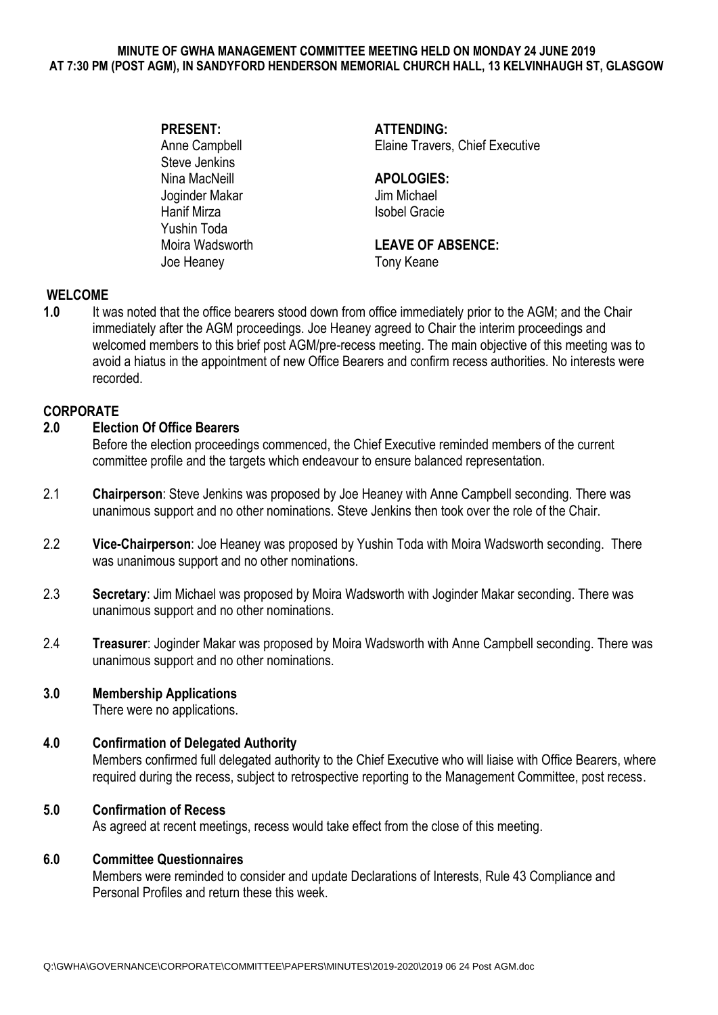#### **MINUTE OF GWHA MANAGEMENT COMMITTEE MEETING HELD ON MONDAY 24 JUNE 2019 AT 7:30 PM (POST AGM), IN SANDYFORD HENDERSON MEMORIAL CHURCH HALL, 13 KELVINHAUGH ST, GLASGOW**

Steve Jenkins<br>Nina MacNeill Joginder Makar Jim Michael Hanif Mirza **Isobel Gracie** Yushin Toda Joe Heaney Tony Keane

**PRESENT: ATTENDING:** Anne Campbell **Elaine Travers**, Chief Executive

# Nina MacNeill **APOLOGIES:**

# Moira Wadsworth **LEAVE OF ABSENCE:**

# **WELCOME**

**1.0** It was noted that the office bearers stood down from office immediately prior to the AGM; and the Chair immediately after the AGM proceedings. Joe Heaney agreed to Chair the interim proceedings and welcomed members to this brief post AGM/pre-recess meeting. The main objective of this meeting was to avoid a hiatus in the appointment of new Office Bearers and confirm recess authorities. No interests were recorded.

### **CORPORATE**

# **2.0 Election Of Office Bearers**

Before the election proceedings commenced, the Chief Executive reminded members of the current committee profile and the targets which endeavour to ensure balanced representation.

- 2.1 **Chairperson**: Steve Jenkins was proposed by Joe Heaney with Anne Campbell seconding. There was unanimous support and no other nominations. Steve Jenkins then took over the role of the Chair.
- 2.2 **Vice-Chairperson**: Joe Heaney was proposed by Yushin Toda with Moira Wadsworth seconding. There was unanimous support and no other nominations.
- 2.3 **Secretary**: Jim Michael was proposed by Moira Wadsworth with Joginder Makar seconding. There was unanimous support and no other nominations.
- 2.4 **Treasurer**: Joginder Makar was proposed by Moira Wadsworth with Anne Campbell seconding. There was unanimous support and no other nominations.

### **3.0 Membership Applications**

There were no applications.

### **4.0 Confirmation of Delegated Authority**

Members confirmed full delegated authority to the Chief Executive who will liaise with Office Bearers, where required during the recess, subject to retrospective reporting to the Management Committee, post recess.

### **5.0 Confirmation of Recess**

As agreed at recent meetings, recess would take effect from the close of this meeting.

### **6.0 Committee Questionnaires**

Members were reminded to consider and update Declarations of Interests, Rule 43 Compliance and Personal Profiles and return these this week.